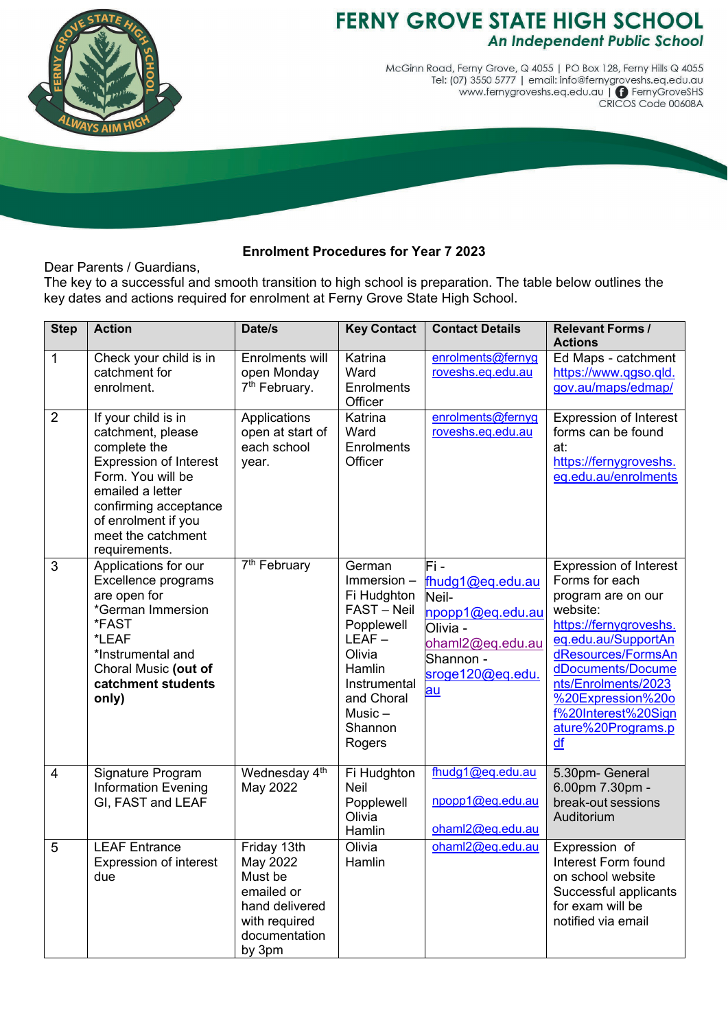

## **FERNY GROVE STATE HIGH SCHOOL An Independent Public School**

McGinn Road, Ferny Grove, Q 4055 | PO Box 128, Ferny Hills Q 4055 Tel: (07) 3550 5777 | email: info@fernygroveshs.eq.edu.au www.fernygroveshs.eq.edu.au | © FernyGroveSHS<br>CRICOS Code 00608A

## **Enrolment Procedures for Year 7 2023**

Dear Parents / Guardians,

The key to a successful and smooth transition to high school is preparation. The table below outlines the key dates and actions required for enrolment at Ferny Grove State High School.

| <b>Step</b>    | <b>Action</b>                                                                                                                                                                                                             | Date/s                                                                                                         | <b>Key Contact</b>                                                                                                                                                | <b>Contact Details</b>                                                                                                              | <b>Relevant Forms /</b><br><b>Actions</b>                                                                                                                                                                                                                             |
|----------------|---------------------------------------------------------------------------------------------------------------------------------------------------------------------------------------------------------------------------|----------------------------------------------------------------------------------------------------------------|-------------------------------------------------------------------------------------------------------------------------------------------------------------------|-------------------------------------------------------------------------------------------------------------------------------------|-----------------------------------------------------------------------------------------------------------------------------------------------------------------------------------------------------------------------------------------------------------------------|
| $\mathbf{1}$   | Check your child is in<br>catchment for<br>enrolment.                                                                                                                                                                     | Enrolments will<br>open Monday<br>7 <sup>th</sup> February.                                                    | Katrina<br>Ward<br><b>Enrolments</b><br>Officer                                                                                                                   | enrolments@fernyg<br>roveshs.eq.edu.au                                                                                              | Ed Maps - catchment<br>https://www.qgso.qld.<br>gov.au/maps/edmap/                                                                                                                                                                                                    |
| $\overline{2}$ | If your child is in<br>catchment, please<br>complete the<br><b>Expression of Interest</b><br>Form. You will be<br>emailed a letter<br>confirming acceptance<br>of enrolment if you<br>meet the catchment<br>requirements. | Applications<br>open at start of<br>each school<br>year.                                                       | Katrina<br>Ward<br><b>Enrolments</b><br>Officer                                                                                                                   | enrolments@fernyg<br>roveshs.eq.edu.au                                                                                              | Expression of Interest<br>forms can be found<br>at:<br>https://fernygroveshs.<br>eq.edu.au/enrolments                                                                                                                                                                 |
| $\mathfrak{S}$ | Applications for our<br>Excellence programs<br>are open for<br>*German Immersion<br>*FAST<br>*LEAF<br>*Instrumental and<br>Choral Music (out of<br>catchment students<br>only)                                            | 7 <sup>th</sup> February                                                                                       | German<br>$Immersion -$<br>Fi Hudghton<br>FAST-Neil<br>Popplewell<br>$LEAF -$<br>Olivia<br>Hamlin<br>Instrumental<br>and Choral<br>$Music -$<br>Shannon<br>Rogers | Fi -<br>fhudg1@eq.edu.au<br>Neil-<br>npopp1@eq.edu.au<br>Olivia -<br>ohaml2@eq.edu.au<br>Shannon -<br>sroge120@eg.edu.<br><u>au</u> | Expression of Interest<br>Forms for each<br>program are on our<br>website:<br>https://fernygroveshs.<br>eq.edu.au/SupportAn<br>dResources/FormsAn<br>dDocuments/Docume<br>nts/Enrolments/2023<br>%20Expression%20o<br>f%20Interest%20Sign<br>ature%20Programs.p<br>df |
| $\overline{4}$ | Signature Program<br><b>Information Evening</b><br>GI, FAST and LEAF                                                                                                                                                      | Wednesday 4 <sup>th</sup><br>May 2022                                                                          | Fi Hudghton<br>Neil<br>Popplewell<br>Olivia<br>Hamlin                                                                                                             | fhudg1@eq.edu.au<br>npopp1@eq.edu.au<br>ohaml2@eq.edu.au                                                                            | 5.30pm- General<br>6.00pm 7.30pm -<br>break-out sessions<br>Auditorium                                                                                                                                                                                                |
| 5              | <b>LEAF Entrance</b><br><b>Expression of interest</b><br>due                                                                                                                                                              | Friday 13th<br>May 2022<br>Must be<br>emailed or<br>hand delivered<br>with required<br>documentation<br>by 3pm | Olivia<br>Hamlin                                                                                                                                                  | ohaml2@eq.edu.au                                                                                                                    | Expression of<br>Interest Form found<br>on school website<br>Successful applicants<br>for exam will be<br>notified via email                                                                                                                                          |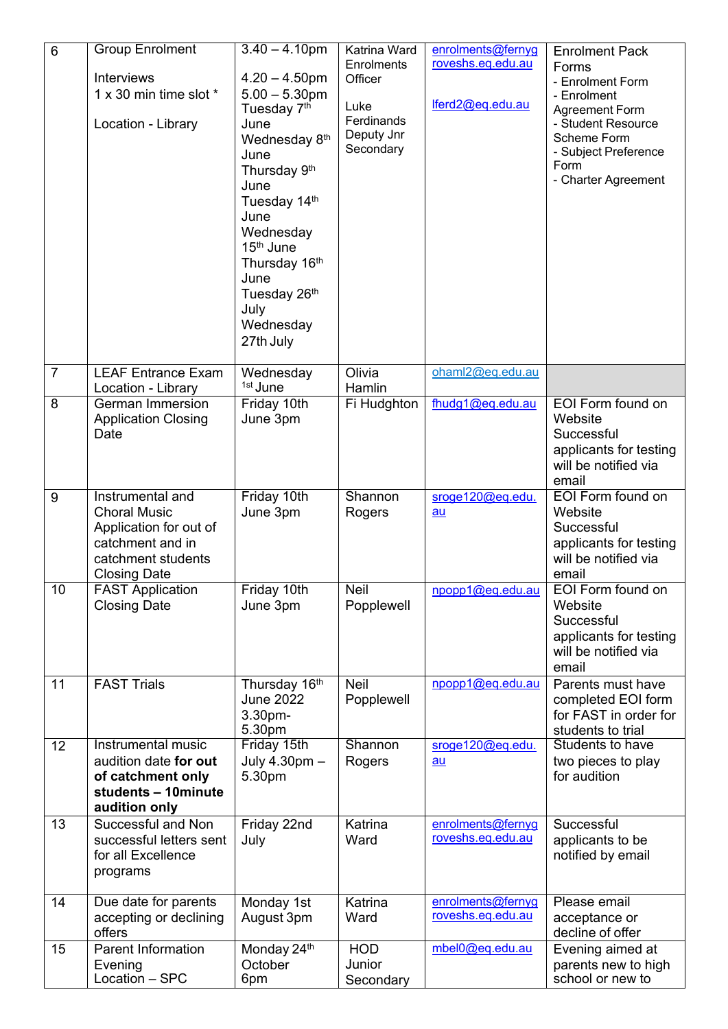| 6              | <b>Group Enrolment</b><br><b>Interviews</b><br>1 x 30 min time slot *<br>Location - Library                                        | $3.40 - 4.10$ pm<br>$4.20 - 4.50$ pm<br>$5.00 - 5.30$ pm<br>Tuesday 7 <sup>th</sup><br>June<br>Wednesday 8th<br>June<br>Thursday 9th<br>June<br>Tuesday 14th<br>June<br>Wednesday<br>15 <sup>th</sup> June<br>Thursday 16th<br>June<br>Tuesday 26th<br>July<br>Wednesday<br>27th July | Katrina Ward<br>Enrolments<br>Officer<br>Luke<br>Ferdinands<br>Deputy Jnr<br>Secondary | enrolments@fernyg<br>roveshs.eq.edu.au<br>lferd2@eq.edu.au | <b>Enrolment Pack</b><br>Forms<br>- Enrolment Form<br>- Enrolment<br><b>Agreement Form</b><br>- Student Resource<br>Scheme Form<br>- Subject Preference<br>Form<br>- Charter Agreement |
|----------------|------------------------------------------------------------------------------------------------------------------------------------|---------------------------------------------------------------------------------------------------------------------------------------------------------------------------------------------------------------------------------------------------------------------------------------|----------------------------------------------------------------------------------------|------------------------------------------------------------|----------------------------------------------------------------------------------------------------------------------------------------------------------------------------------------|
| $\overline{7}$ | <b>LEAF Entrance Exam</b>                                                                                                          | Wednesday<br>1st June                                                                                                                                                                                                                                                                 | Olivia                                                                                 | ohaml2@eq.edu.au                                           |                                                                                                                                                                                        |
| $\overline{8}$ | Location - Library<br><b>German Immersion</b><br><b>Application Closing</b><br>Date                                                | Friday 10th<br>June 3pm                                                                                                                                                                                                                                                               | Hamlin<br>Fi Hudghton                                                                  | fhudg1@eq.edu.au                                           | EOI Form found on<br>Website<br>Successful<br>applicants for testing<br>will be notified via<br>email                                                                                  |
| 9              | Instrumental and<br><b>Choral Music</b><br>Application for out of<br>catchment and in<br>catchment students<br><b>Closing Date</b> | Friday 10th<br>June 3pm                                                                                                                                                                                                                                                               | Shannon<br>Rogers                                                                      | sroge120@eq.edu.<br>au                                     | EOI Form found on<br>Website<br>Successful<br>applicants for testing<br>will be notified via<br>email                                                                                  |
| 10             | <b>FAST Application</b><br><b>Closing Date</b>                                                                                     | Friday 10th<br>June 3pm                                                                                                                                                                                                                                                               | <b>Neil</b><br>Popplewell                                                              | $npop1(\omega)$ eq.edu.au                                  | EOI Form found on<br>Website<br>Successful<br>applicants for testing<br>will be notified via<br>email                                                                                  |
| 11             | <b>FAST Trials</b>                                                                                                                 | Thursday 16th<br><b>June 2022</b><br>3.30pm-<br>5.30pm                                                                                                                                                                                                                                | <b>Neil</b><br>Popplewell                                                              | npopp1@eq.edu.au                                           | Parents must have<br>completed EOI form<br>for FAST in order for<br>students to trial                                                                                                  |
| 12             | Instrumental music<br>audition date for out<br>of catchment only<br>students - 10minute<br>audition only                           | Friday 15th<br>July 4.30pm -<br>5.30pm                                                                                                                                                                                                                                                | Shannon<br>Rogers                                                                      | sroge120@eq.edu.<br>au                                     | Students to have<br>two pieces to play<br>for audition                                                                                                                                 |
| 13             | Successful and Non<br>successful letters sent<br>for all Excellence<br>programs                                                    | Friday 22nd<br>July                                                                                                                                                                                                                                                                   | Katrina<br>Ward                                                                        | enrolments@fernyg<br>roveshs.eq.edu.au                     | Successful<br>applicants to be<br>notified by email                                                                                                                                    |
| 14             | Due date for parents<br>accepting or declining<br>offers                                                                           | Monday 1st<br>August 3pm                                                                                                                                                                                                                                                              | Katrina<br>Ward                                                                        | enrolments@fernyg<br>roveshs.eq.edu.au                     | Please email<br>acceptance or<br>decline of offer                                                                                                                                      |
| 15             | <b>Parent Information</b><br>Evening<br>Location - SPC                                                                             | Monday 24th<br>October<br>6pm                                                                                                                                                                                                                                                         | <b>HOD</b><br>Junior<br>Secondary                                                      | mbel0@eq.edu.au                                            | Evening aimed at<br>parents new to high<br>school or new to                                                                                                                            |